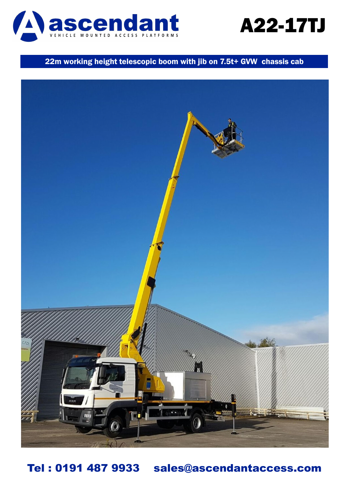

## A22-17TJ

### 22m working height telescopic boom with jib on 7.5t+ GVW chassis cab



Tel : 0191 487 9933 sales@ascendantaccess.com